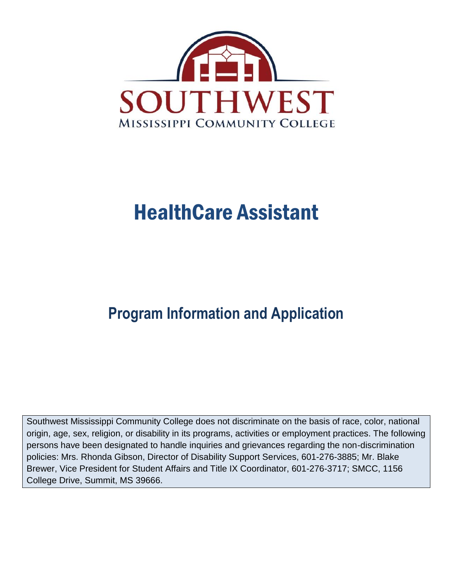

# HealthCare Assistant

# **Program Information and Application**

Southwest Mississippi Community College does not discriminate on the basis of race, color, national origin, age, sex, religion, or disability in its programs, activities or employment practices. The following persons have been designated to handle inquiries and grievances regarding the non-discrimination policies: Mrs. Rhonda Gibson, Director of Disability Support Services, 601-276-3885; Mr. Blake Brewer, Vice President for Student Affairs and Title IX Coordinator, 601-276-3717; SMCC, 1156 College Drive, Summit, MS 39666.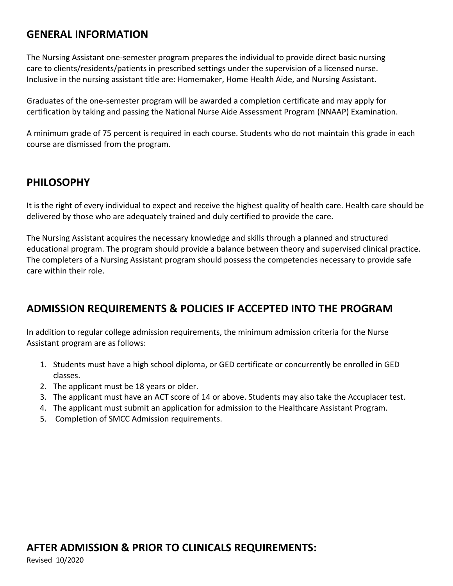#### **GENERAL INFORMATION**

The Nursing Assistant one-semester program prepares the individual to provide direct basic nursing care to clients/residents/patients in prescribed settings under the supervision of a licensed nurse. Inclusive in the nursing assistant title are: Homemaker, Home Health Aide, and Nursing Assistant.

Graduates of the one-semester program will be awarded a completion certificate and may apply for certification by taking and passing the National Nurse Aide Assessment Program (NNAAP) Examination.

A minimum grade of 75 percent is required in each course. Students who do not maintain this grade in each course are dismissed from the program.

#### **PHILOSOPHY**

It is the right of every individual to expect and receive the highest quality of health care. Health care should be delivered by those who are adequately trained and duly certified to provide the care.

The Nursing Assistant acquires the necessary knowledge and skills through a planned and structured educational program. The program should provide a balance between theory and supervised clinical practice. The completers of a Nursing Assistant program should possess the competencies necessary to provide safe care within their role.

## **ADMISSION REQUIREMENTS & POLICIES IF ACCEPTED INTO THE PROGRAM**

In addition to regular college admission requirements, the minimum admission criteria for the Nurse Assistant program are as follows:

- 1. Students must have a high school diploma, or GED certificate or concurrently be enrolled in GED classes.
- 2. The applicant must be 18 years or older.
- 3. The applicant must have an ACT score of 14 or above. Students may also take the Accuplacer test.
- 4. The applicant must submit an application for admission to the Healthcare Assistant Program.
- 5. Completion of SMCC Admission requirements.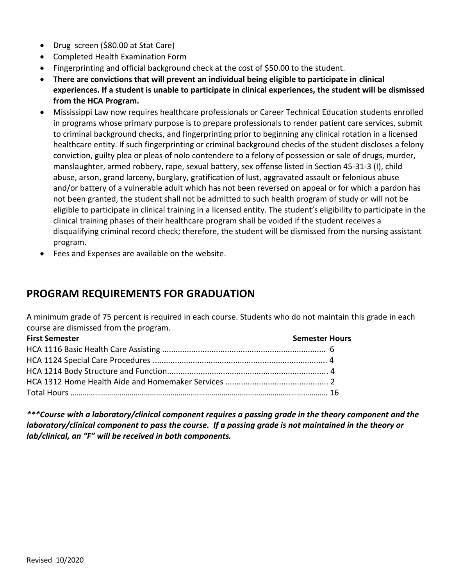- Drug screen (\$80.00 at Stat Care)
- Completed Health Examination Form
- Fingerprinting and official background check at the cost of \$50.00 to the student.
- **There are convictions that will prevent an individual being eligible to participate in clinical experiences. If a student is unable to participate in clinical experiences, the student will be dismissed from the HCA Program.**
- Mississippi Law now requires healthcare professionals or Career Technical Education students enrolled in programs whose primary purpose is to prepare professionals to render patient care services, submit to criminal background checks, and fingerprinting prior to beginning any clinical rotation in a licensed healthcare entity. If such fingerprinting or criminal background checks of the student discloses a felony conviction, guilty plea or pleas of nolo contendere to a felony of possession or sale of drugs, murder, manslaughter, armed robbery, rape, sexual battery, sex offense listed in Section 45-31-3 (I), child abuse, arson, grand larceny, burglary, gratification of lust, aggravated assault or felonious abuse and/or battery of a vulnerable adult which has not been reversed on appeal or for which a pardon has not been granted, the student shall not be admitted to such health program of study or will not be eligible to participate in clinical training in a licensed entity. The student's eligibility to participate in the clinical training phases of their healthcare program shall be voided if the student receives a disqualifying criminal record check; therefore, the student will be dismissed from the nursing assistant program.
- Fees and Expenses are available on the website.

### **PROGRAM REQUIREMENTS FOR GRADUATION**

A minimum grade of 75 percent is required in each course. Students who do not maintain this grade in each course are dismissed from the program.

| <b>First Semester</b> | <b>Semester Hours</b> |
|-----------------------|-----------------------|
|                       |                       |
|                       |                       |
|                       |                       |
|                       |                       |
|                       |                       |

*\*\*\*Course with a laboratory/clinical component requires a passing grade in the theory component and the laboratory/clinical component to pass the course. If a passing grade is not maintained in the theory or lab/clinical, an "F" will be received in both components.*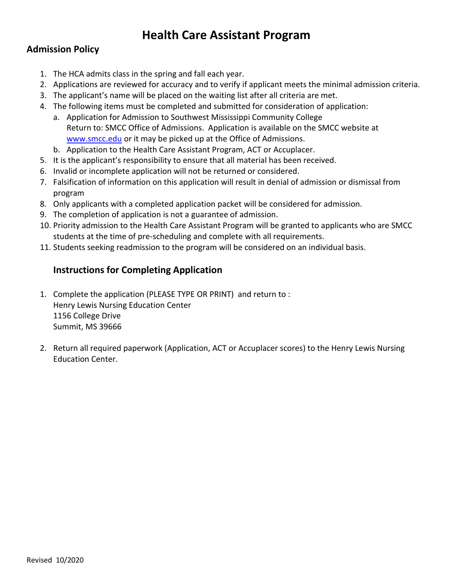## **Health Care Assistant Program**

#### **Admission Policy**

- 1. The HCA admits class in the spring and fall each year.
- 2. Applications are reviewed for accuracy and to verify if applicant meets the minimal admission criteria.
- 3. The applicant's name will be placed on the waiting list after all criteria are met.
- 4. The following items must be completed and submitted for consideration of application:
	- a. Application for Admission to Southwest Mississippi Community College Return to: SMCC Office of Admissions. Application is available on the SMCC website at [www.smcc.edu](http://www.smcc.edu/) or it may be picked up at the Office of Admissions.
	- b. Application to the Health Care Assistant Program, ACT or Accuplacer.
- 5. It is the applicant's responsibility to ensure that all material has been received.
- 6. Invalid or incomplete application will not be returned or considered.
- 7. Falsification of information on this application will result in denial of admission or dismissal from program
- 8. Only applicants with a completed application packet will be considered for admission.
- 9. The completion of application is not a guarantee of admission.
- 10. Priority admission to the Health Care Assistant Program will be granted to applicants who are SMCC students at the time of pre-scheduling and complete with all requirements.
- 11. Students seeking readmission to the program will be considered on an individual basis.

#### **Instructions for Completing Application**

- 1. Complete the application (PLEASE TYPE OR PRINT) and return to : Henry Lewis Nursing Education Center 1156 College Drive Summit, MS 39666
- 2. Return all required paperwork (Application, ACT or Accuplacer scores) to the Henry Lewis Nursing Education Center.